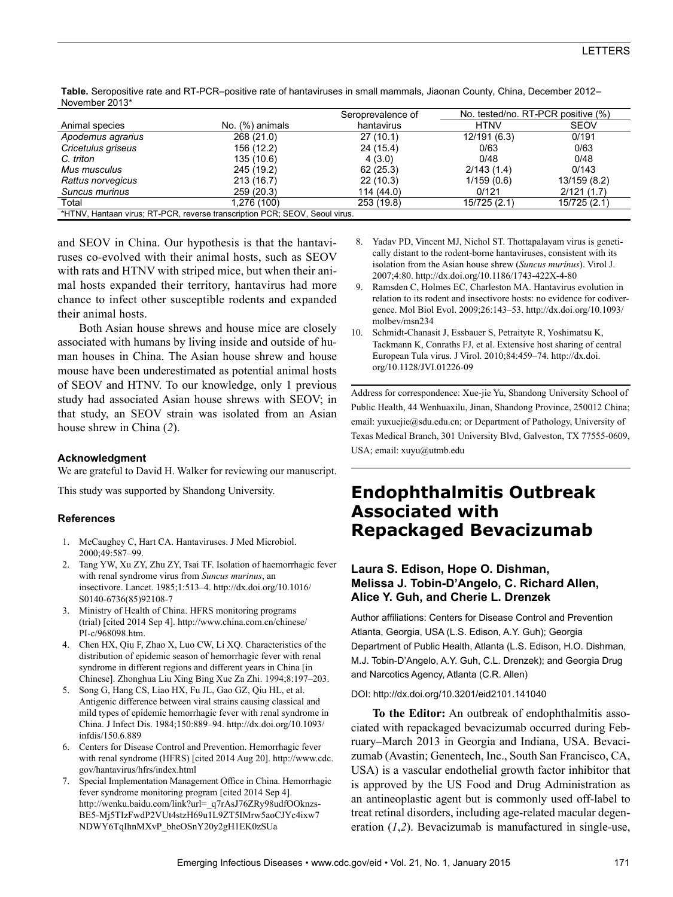|                                                                             |                 | Seroprevalence of | No. tested/no. RT-PCR positive (%) |              |  |
|-----------------------------------------------------------------------------|-----------------|-------------------|------------------------------------|--------------|--|
| Animal species                                                              | No. (%) animals | hantavirus        | <b>HTNV</b>                        | <b>SEOV</b>  |  |
| Apodemus agrarius                                                           | 268 (21.0)      | 27(10.1)          | 12/191 (6.3)                       | 0/191        |  |
| Cricetulus griseus                                                          | 156 (12.2)      | 24 (15.4)         | 0/63                               | 0/63         |  |
| C. triton                                                                   | 135 (10.6)      | 4(3.0)            | 0/48                               | 0/48         |  |
| Mus musculus                                                                | 245 (19.2)      | 62(25.3)          | 2/143(1.4)                         | 0/143        |  |
| Rattus norvegicus                                                           | 213 (16.7)      | 22(10.3)          | 1/159(0.6)                         | 13/159 (8.2) |  |
| Suncus murinus                                                              | 259 (20.3)      | 114 (44.0)        | 0/121                              | 2/121(1.7)   |  |
| Total                                                                       | 1.276 (100)     | 253 (19.8)        | 15/725 (2.1)                       | 15/725 (2.1) |  |
| *HTNV, Hantaan virus; RT-PCR, reverse transcription PCR; SEOV, Seoul virus. |                 |                   |                                    |              |  |

**Table.** Seropositive rate and RT-PCR–positive rate of hantaviruses in small mammals, Jiaonan County, China, December 2012– November 2013\*

and SEOV in China. Our hypothesis is that the hantaviruses co-evolved with their animal hosts, such as SEOV with rats and HTNV with striped mice, but when their animal hosts expanded their territory, hantavirus had more chance to infect other susceptible rodents and expanded their animal hosts.

Both Asian house shrews and house mice are closely associated with humans by living inside and outside of human houses in China. The Asian house shrew and house mouse have been underestimated as potential animal hosts of SEOV and HTNV. To our knowledge, only 1 previous study had associated Asian house shrews with SEOV; in that study, an SEOV strain was isolated from an Asian house shrew in China (*2*).

### **Acknowledgment**

We are grateful to David H. Walker for reviewing our manuscript.

This study was supported by Shandong University.

### **References**

- 1. McCaughey C, Hart CA. Hantaviruses. J Med Microbiol. 2000;49:587–99.
- 2. Tang YW, Xu ZY, Zhu ZY, Tsai TF. Isolation of haemorrhagic fever with renal syndrome virus from *Suncus murinus*, an insectivore. Lancet. 1985;1:513–4. http://dx.doi.org/10.1016/ S0140-6736(85)92108-7
- 3. Ministry of Health of China. HFRS monitoring programs (trial) [cited 2014 Sep 4]. http://www.china.com.cn/chinese/ PI-c/968098.htm.
- 4. Chen HX, Qiu F, Zhao X, Luo CW, Li XQ. Characteristics of the distribution of epidemic season of hemorrhagic fever with renal syndrome in different regions and different years in China [in Chinese]. Zhonghua Liu Xing Bing Xue Za Zhi. 1994;8:197–203.
- 5. Song G, Hang CS, Liao HX, Fu JL, Gao GZ, Qiu HL, et al. Antigenic difference between viral strains causing classical and mild types of epidemic hemorrhagic fever with renal syndrome in China. J Infect Dis. 1984;150:889–94. http://dx.doi.org/10.1093/ infdis/150.6.889
- 6. Centers for Disease Control and Prevention. Hemorrhagic fever with renal syndrome (HFRS) [cited 2014 Aug 20]. http://www.cdc. gov/hantavirus/hfrs/index.html
- 7. Special Implementation Management Office in China. Hemorrhagic fever syndrome monitoring program [cited 2014 Sep 4]. http://wenku.baidu.com/link?url=\_q7rAsJ76ZRy98udfOOknzs-BE5-Mj5TIzFwdP2VUt4stzH69u1L9ZT5IMrw5aoCJYc4ixw7 NDWY6TqIhnMXvP\_bheOSnY20y2gH1EK0zSUa
- 8. Yadav PD, Vincent MJ, Nichol ST. Thottapalayam virus is genetically distant to the rodent-borne hantaviruses, consistent with its isolation from the Asian house shrew (*Suncus murinus*). Virol J. 2007;4:80. http://dx.doi.org/10.1186/1743-422X-4-80
- 9. Ramsden C, Holmes EC, Charleston MA. Hantavirus evolution in relation to its rodent and insectivore hosts: no evidence for codivergence. Mol Biol Evol. 2009;26:143–53. http://dx.doi.org/10.1093/ molbev/msn234
- 10. Schmidt-Chanasit J, Essbauer S, Petraityte R, Yoshimatsu K, Tackmann K, Conraths FJ, et al. Extensive host sharing of central European Tula virus. J Virol. 2010;84:459–74. http://dx.doi. org/10.1128/JVI.01226-09

Address for correspondence: Xue-jie Yu, Shandong University School of Public Health, 44 Wenhuaxilu, Jinan, Shandong Province, 250012 China; email: yuxuejie@sdu.edu.cn; or Department of Pathology, University of Texas Medical Branch, 301 University Blvd, Galveston, TX 77555-0609, USA; email: xuyu@utmb.edu

# **Endophthalmitis Outbreak Associated with Repackaged Bevacizumab**

## **Laura S. Edison, Hope O. Dishman, Melissa J. Tobin-D'Angelo, C. Richard Allen, Alice Y. Guh, and Cherie L. Drenzek**

Author affiliations: Centers for Disease Control and Prevention Atlanta, Georgia, USA (L.S. Edison, A.Y. Guh); Georgia Department of Public Health, Atlanta (L.S. Edison, H.O. Dishman, M.J. Tobin-D'Angelo, A.Y. Guh, C.L. Drenzek); and Georgia Drug and Narcotics Agency, Atlanta (C.R. Allen)

DOI: http://dx.doi.org/10.3201/eid2101.141040

**To the Editor:** An outbreak of endophthalmitis associated with repackaged bevacizumab occurred during February–March 2013 in Georgia and Indiana, USA. Bevacizumab (Avastin; Genentech, Inc., South San Francisco, CA, USA) is a vascular endothelial growth factor inhibitor that is approved by the US Food and Drug Administration as an antineoplastic agent but is commonly used off-label to treat retinal disorders, including age-related macular degeneration (*1*,*2*). Bevacizumab is manufactured in single-use,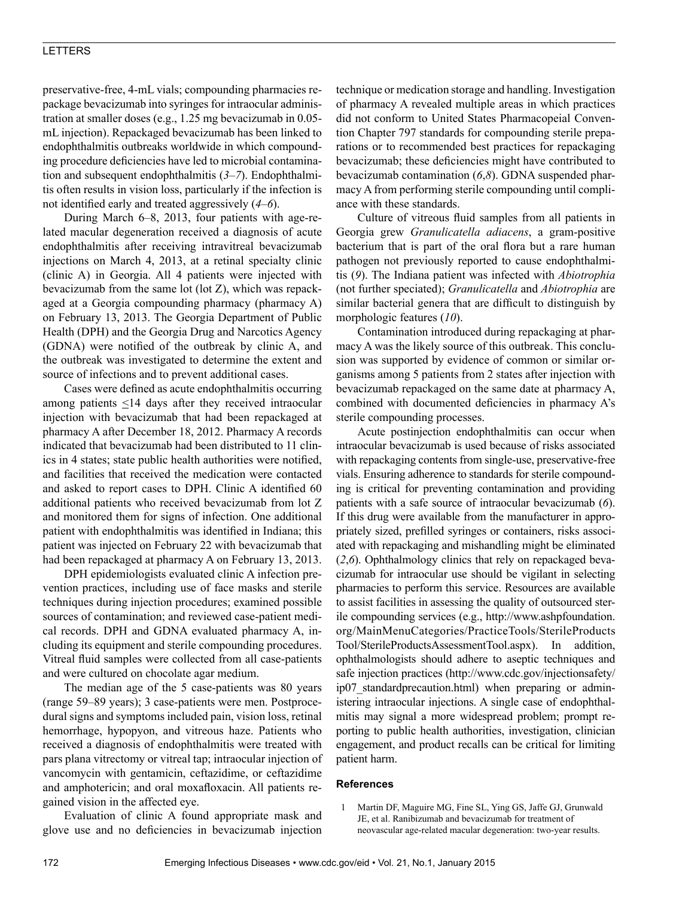## LETTERS

preservative-free, 4-mL vials; compounding pharmacies repackage bevacizumab into syringes for intraocular administration at smaller doses (e.g., 1.25 mg bevacizumab in 0.05 mL injection). Repackaged bevacizumab has been linked to endophthalmitis outbreaks worldwide in which compounding procedure deficiencies have led to microbial contamination and subsequent endophthalmitis (*3*–*7*). Endophthalmitis often results in vision loss, particularly if the infection is not identified early and treated aggressively (*4*–*6*).

During March 6–8, 2013, four patients with age-related macular degeneration received a diagnosis of acute endophthalmitis after receiving intravitreal bevacizumab injections on March 4, 2013, at a retinal specialty clinic (clinic A) in Georgia. All 4 patients were injected with bevacizumab from the same lot (lot Z), which was repackaged at a Georgia compounding pharmacy (pharmacy A) on February 13, 2013. The Georgia Department of Public Health (DPH) and the Georgia Drug and Narcotics Agency (GDNA) were notified of the outbreak by clinic A, and the outbreak was investigated to determine the extent and source of infections and to prevent additional cases.

Cases were defined as acute endophthalmitis occurring among patients <14 days after they received intraocular injection with bevacizumab that had been repackaged at pharmacy A after December 18, 2012. Pharmacy A records indicated that bevacizumab had been distributed to 11 clinics in 4 states; state public health authorities were notified, and facilities that received the medication were contacted and asked to report cases to DPH. Clinic A identified 60 additional patients who received bevacizumab from lot Z and monitored them for signs of infection. One additional patient with endophthalmitis was identified in Indiana; this patient was injected on February 22 with bevacizumab that had been repackaged at pharmacy A on February 13, 2013.

DPH epidemiologists evaluated clinic A infection prevention practices, including use of face masks and sterile techniques during injection procedures; examined possible sources of contamination; and reviewed case-patient medical records. DPH and GDNA evaluated pharmacy A, including its equipment and sterile compounding procedures. Vitreal fluid samples were collected from all case-patients and were cultured on chocolate agar medium.

The median age of the 5 case-patients was 80 years (range 59–89 years); 3 case-patients were men. Postprocedural signs and symptoms included pain, vision loss, retinal hemorrhage, hypopyon, and vitreous haze. Patients who received a diagnosis of endophthalmitis were treated with pars plana vitrectomy or vitreal tap; intraocular injection of vancomycin with gentamicin, ceftazidime, or ceftazidime and amphotericin; and oral moxafloxacin. All patients regained vision in the affected eye.

Evaluation of clinic A found appropriate mask and glove use and no deficiencies in bevacizumab injection

technique or medication storage and handling. Investigation of pharmacy A revealed multiple areas in which practices did not conform to United States Pharmacopeial Convention Chapter 797 standards for compounding sterile preparations or to recommended best practices for repackaging bevacizumab; these deficiencies might have contributed to bevacizumab contamination (*6*,*8*). GDNA suspended pharmacy A from performing sterile compounding until compliance with these standards.

Culture of vitreous fluid samples from all patients in Georgia grew *Granulicatella adiacens*, a gram-positive bacterium that is part of the oral flora but a rare human pathogen not previously reported to cause endophthalmitis (*9*). The Indiana patient was infected with *Abiotrophia* (not further speciated); *Granulicatella* and *Abiotrophia* are similar bacterial genera that are difficult to distinguish by morphologic features (*10*).

Contamination introduced during repackaging at pharmacy A was the likely source of this outbreak. This conclusion was supported by evidence of common or similar organisms among 5 patients from 2 states after injection with bevacizumab repackaged on the same date at pharmacy A, combined with documented deficiencies in pharmacy A's sterile compounding processes.

Acute postinjection endophthalmitis can occur when intraocular bevacizumab is used because of risks associated with repackaging contents from single-use, preservative-free vials. Ensuring adherence to standards for sterile compounding is critical for preventing contamination and providing patients with a safe source of intraocular bevacizumab (*6*). If this drug were available from the manufacturer in appropriately sized, prefilled syringes or containers, risks associated with repackaging and mishandling might be eliminated (*2*,*6*). Ophthalmology clinics that rely on repackaged bevacizumab for intraocular use should be vigilant in selecting pharmacies to perform this service. Resources are available to assist facilities in assessing the quality of outsourced sterile compounding services (e.g., http://www.ashpfoundation. org/MainMenuCategories/PracticeTools/SterileProducts Tool/SterileProductsAssessmentTool.aspx). In addition, ophthalmologists should adhere to aseptic techniques and safe injection practices (http://www.cdc.gov/injectionsafety/ ip07\_standardprecaution.html) when preparing or administering intraocular injections. A single case of endophthalmitis may signal a more widespread problem; prompt reporting to public health authorities, investigation, clinician engagement, and product recalls can be critical for limiting patient harm.

#### **References**

 1 Martin DF, Maguire MG, Fine SL, Ying GS, Jaffe GJ, Grunwald JE, et al. Ranibizumab and bevacizumab for treatment of neovascular age-related macular degeneration: two-year results.